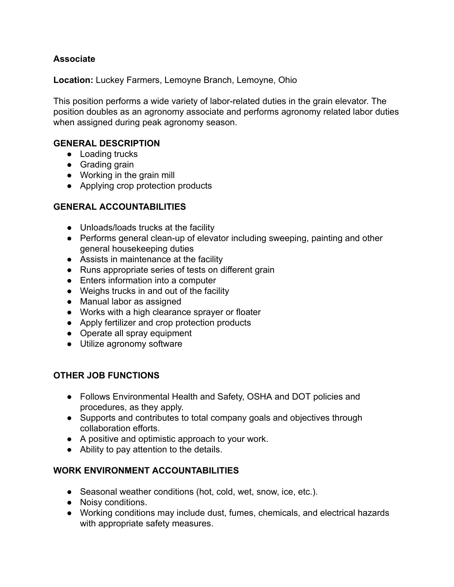# **Associate**

**Location:** Luckey Farmers, Lemoyne Branch, Lemoyne, Ohio

This position performs a wide variety of labor-related duties in the grain elevator. The position doubles as an agronomy associate and performs agronomy related labor duties when assigned during peak agronomy season.

### **GENERAL DESCRIPTION**

- Loading trucks
- Grading grain
- Working in the grain mill
- Applying crop protection products

#### **GENERAL ACCOUNTABILITIES**

- Unloads/loads trucks at the facility
- Performs general clean-up of elevator including sweeping, painting and other general housekeeping duties
- Assists in maintenance at the facility
- Runs appropriate series of tests on different grain
- Enters information into a computer
- Weighs trucks in and out of the facility
- Manual labor as assigned
- Works with a high clearance sprayer or floater
- Apply fertilizer and crop protection products
- Operate all spray equipment
- Utilize agronomy software

### **OTHER JOB FUNCTIONS**

- Follows Environmental Health and Safety, OSHA and DOT policies and procedures, as they apply.
- Supports and contributes to total company goals and objectives through collaboration efforts.
- A positive and optimistic approach to your work.
- Ability to pay attention to the details.

### **WORK ENVIRONMENT ACCOUNTABILITIES**

- Seasonal weather conditions (hot, cold, wet, snow, ice, etc.).
- Noisy conditions.
- Working conditions may include dust, fumes, chemicals, and electrical hazards with appropriate safety measures.